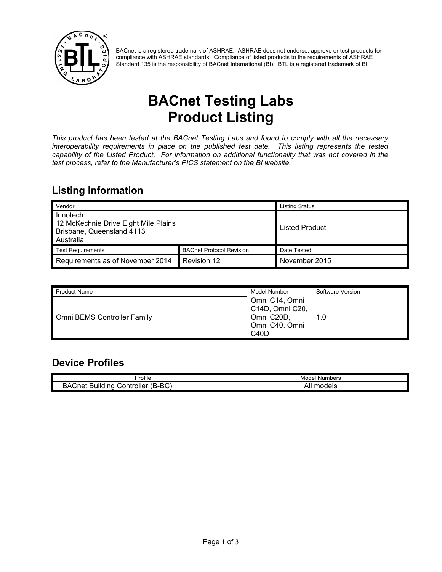

BACnet is a registered trademark of ASHRAE. ASHRAE does not endorse, approve or test products for compliance with ASHRAE standards. Compliance of listed products to the requirements of ASHRAE Standard 135 is the responsibility of BACnet International (BI). BTL is a registered trademark of BI.

# **BACnet Testing Labs Product Listing**

*This product has been tested at the BACnet Testing Labs and found to comply with all the necessary interoperability requirements in place on the published test date. This listing represents the tested capability of the Listed Product. For information on additional functionality that was not covered in the test process, refer to the Manufacturer's PICS statement on the BI website.*

#### **Listing Information**

| Vendor                                                                                     |                                 | <b>Listing Status</b> |
|--------------------------------------------------------------------------------------------|---------------------------------|-----------------------|
| Innotech<br>12 McKechnie Drive Eight Mile Plains<br>Brisbane, Queensland 4113<br>Australia |                                 | Listed Product        |
| <b>Test Requirements</b>                                                                   | <b>BACnet Protocol Revision</b> | Date Tested           |
| Requirements as of November 2014                                                           | Revision 12                     | November 2015         |

| <b>Product Name</b>         | Model Number                                                                                       | Software Version |
|-----------------------------|----------------------------------------------------------------------------------------------------|------------------|
| Omni BEMS Controller Family | Omni C14, Omni<br>C14D, Omni C20,<br>Omni C20D,<br>Omni C40, Omni<br>C <sub>4</sub> 0 <sub>D</sub> | 1.0              |

#### **Device Profiles**

|                                                                           | Numbers              |
|---------------------------------------------------------------------------|----------------------|
| Profile                                                                   | Model                |
| BA<br>(B-BC)<br><br>∽<br>.<br>-<br>Controller<br><b>\Cnet</b><br>Building | . .<br>models<br>Alı |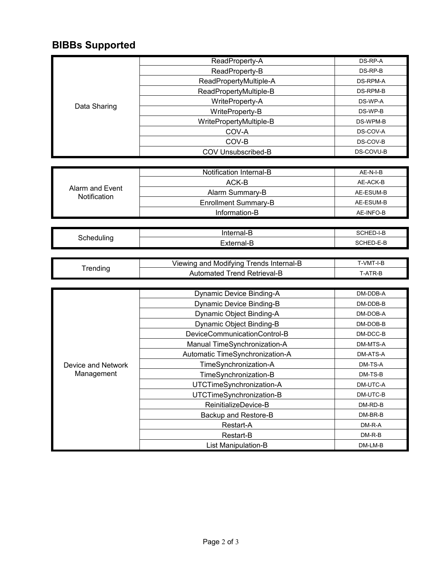## **BIBBs Supported**

|                                 | ReadProperty-A                          | DS-RP-A             |
|---------------------------------|-----------------------------------------|---------------------|
|                                 | ReadProperty-B                          | DS-RP-B             |
|                                 | ReadPropertyMultiple-A                  | <b>DS-RPM-A</b>     |
|                                 | ReadPropertyMultiple-B                  | DS-RPM-B            |
|                                 | WriteProperty-A                         | DS-WP-A             |
| Data Sharing                    | WriteProperty-B                         | DS-WP-B             |
|                                 | WritePropertyMultiple-B                 | DS-WPM-B            |
|                                 | COV-A                                   | DS-COV-A            |
|                                 | COV-B                                   | DS-COV-B            |
|                                 | COV Unsubscribed-B                      | DS-COVU-B           |
|                                 |                                         |                     |
|                                 | Notification Internal-B                 | AE-N-I-B            |
|                                 | ACK-B                                   | AE-ACK-B            |
| Alarm and Event<br>Notification | Alarm Summary-B                         | AE-ESUM-B           |
|                                 | <b>Enrollment Summary-B</b>             | AE-ESUM-B           |
|                                 | Information-B                           | AE-INFO-B           |
|                                 |                                         |                     |
| Scheduling                      | Internal-B                              | SCHED-I-B           |
|                                 | External-B                              | SCHED-E-B           |
|                                 |                                         |                     |
| Trending                        | Viewing and Modifying Trends Internal-B | T-VMT-I-B           |
|                                 | Automated Trend Retrieval-B             | T-ATR-B             |
|                                 |                                         |                     |
|                                 | Dynamic Device Binding-A                | $DM-DDB-A$          |
|                                 | Dynamic Device Binding-B                | DM-DDB-B            |
|                                 | Dynamic Object Binding-A                | DM-DOB-A            |
|                                 | Dynamic Object Binding-B                | DM-DOB-B            |
|                                 | DeviceCommunicationControl-B            | DM-DCC-B            |
|                                 | Manual TimeSynchronization-A            | DM-MTS-A            |
|                                 | Automatic TimeSynchronization-A         | DM-ATS-A            |
| Device and Network              | TimeSynchronization-A                   | DM-TS-A             |
| Management                      | TimeSynchronization-B                   | DM-TS-B             |
|                                 |                                         |                     |
|                                 | UTCTimeSynchronization-A                | DM-UTC-A            |
|                                 | UTCTimeSynchronization-B                | DM-UTC-B            |
|                                 | ReinitializeDevice-B                    | DM-RD-B             |
|                                 | Backup and Restore-B                    | DM-BR-B             |
|                                 | Restart-A                               | DM-R-A              |
|                                 | Restart-B<br>List Manipulation-B        | $DM-R-B$<br>DM-LM-B |